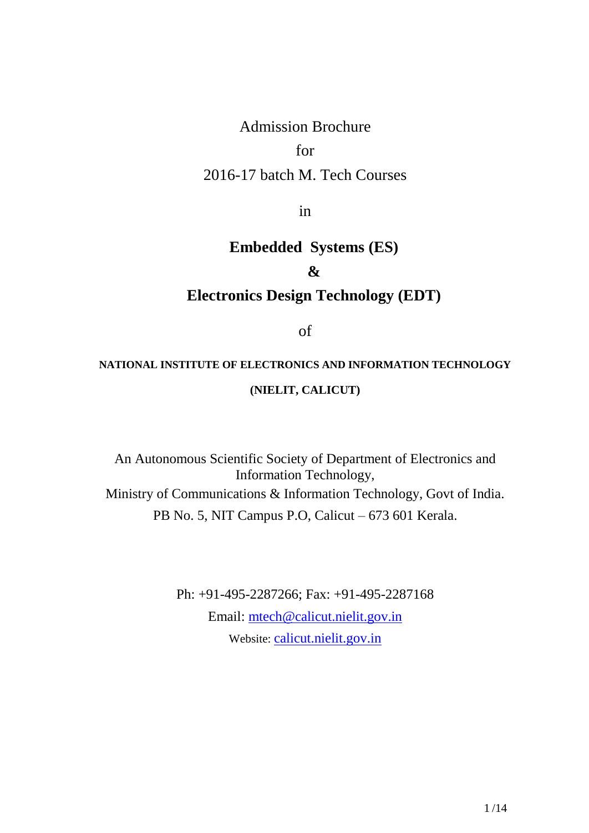# Admission Brochure

# for

## 2016-17 batch M. Tech Courses

in

# **Embedded Systems (ES) &**

## **Electronics Design Technology (EDT)**

of

# **NATIONAL INSTITUTE OF ELECTRONICS AND INFORMATION TECHNOLOGY (NIELIT, CALICUT)**

An Autonomous Scientific Society of Department of Electronics and Information Technology, Ministry of Communications & Information Technology, Govt of India. PB No. 5, NIT Campus P.O, Calicut – 673 601 Kerala.

> Ph: +91-495-2287266; Fax: +91-495-2287168 Email: [mtech@calicut.nielit.gov.in](mailto:mtech@calicut.nielit.gov.in) Website: [calicut.nielit.gov.in](http://calicut.nielit.in/)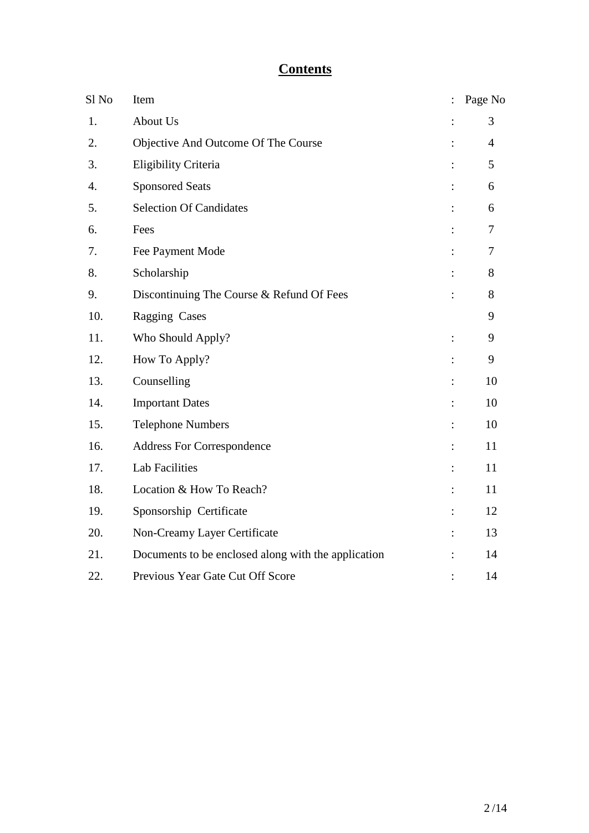## **Contents**

| Sl No | Item                                                |          | Page No        |
|-------|-----------------------------------------------------|----------|----------------|
| 1.    | About Us                                            |          | 3              |
| 2.    | Objective And Outcome Of The Course                 |          | $\overline{4}$ |
| 3.    | Eligibility Criteria                                |          | 5              |
| 4.    | <b>Sponsored Seats</b>                              |          | 6              |
| 5.    | <b>Selection Of Candidates</b>                      |          | 6              |
| 6.    | Fees                                                |          | 7              |
| 7.    | Fee Payment Mode                                    |          | 7              |
| 8.    | Scholarship                                         |          | 8              |
| 9.    | Discontinuing The Course & Refund Of Fees           |          | 8              |
| 10.   | Ragging Cases                                       |          | 9              |
| 11.   | Who Should Apply?                                   | $\vdots$ | 9              |
| 12.   | How To Apply?                                       |          | 9              |
| 13.   | Counselling                                         |          | 10             |
| 14.   | <b>Important Dates</b>                              |          | 10             |
| 15.   | <b>Telephone Numbers</b>                            |          | 10             |
| 16.   | <b>Address For Correspondence</b>                   |          | 11             |
| 17.   | <b>Lab Facilities</b>                               |          | 11             |
| 18.   | Location & How To Reach?                            |          | 11             |
| 19.   | Sponsorship Certificate                             |          | 12             |
| 20.   | Non-Creamy Layer Certificate                        |          | 13             |
| 21.   | Documents to be enclosed along with the application |          | 14             |
| 22.   | Previous Year Gate Cut Off Score                    |          | 14             |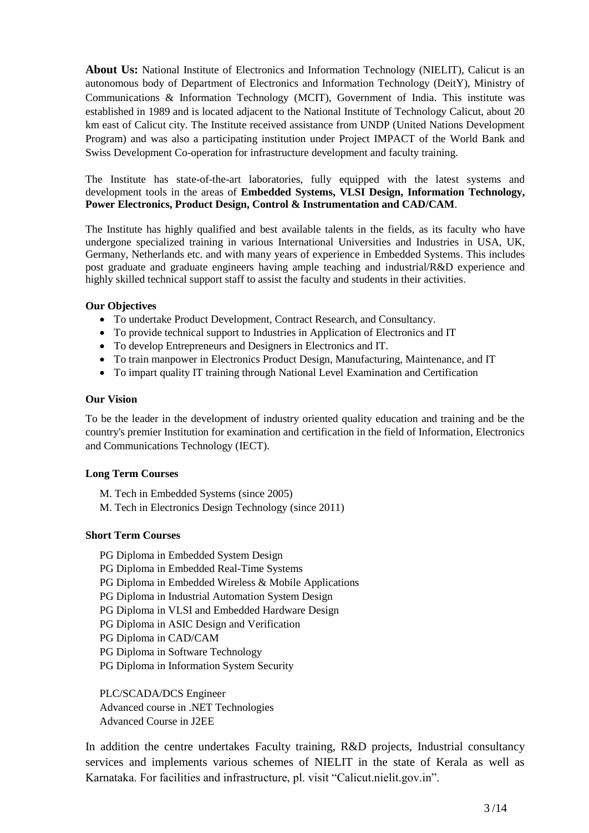**About Us:** National Institute of Electronics and Information Technology (NIELIT), Calicut is an autonomous body of Department of Electronics and Information Technology (DeitY), Ministry of Communications & Information Technology (MCIT), Government of India. This institute was established in 1989 and is located adjacent to the National Institute of Technology Calicut, about 20 km east of Calicut city. The Institute received assistance from UNDP (United Nations Development Program) and was also a participating institution under Project IMPACT of the World Bank and Swiss Development Co-operation for infrastructure development and faculty training.

The Institute has state-of-the-art laboratories, fully equipped with the latest systems and development tools in the areas of **Embedded Systems, VLSI Design, Information Technology, Power Electronics, Product Design, Control & Instrumentation and CAD/CAM**.

The Institute has highly qualified and best available talents in the fields, as its faculty who have undergone specialized training in various International Universities and Industries in USA, UK, Germany, Netherlands etc. and with many years of experience in Embedded Systems. This includes post graduate and graduate engineers having ample teaching and industrial/R&D experience and highly skilled technical support staff to assist the faculty and students in their activities.

#### **Our Objectives**

- To undertake Product Development, Contract Research, and Consultancy.
- To provide technical support to Industries in Application of Electronics and IT
- To develop Entrepreneurs and Designers in Electronics and IT.
- To train manpower in Electronics Product Design, Manufacturing, Maintenance, and IT
- To impart quality IT training through National Level Examination and Certification

#### **Our Vision**

To be the leader in the development of industry oriented quality education and training and be the country's premier Institution for examination and certification in the field of Information, Electronics and Communications Technology (IECT).

#### **Long Term Courses**

M. Tech in Embedded Systems (since 2005)

M. Tech in Electronics Design Technology (since 2011)

#### **Short Term Courses**

PG Diploma in Embedded System Design PG Diploma in Embedded Real-Time Systems PG Diploma in Embedded Wireless & Mobile Applications PG Diploma in Industrial Automation System Design PG Diploma in VLSI and Embedded Hardware Design PG Diploma in ASIC Design and Verification PG Diploma in CAD/CAM PG Diploma in Software Technology PG Diploma in Information System Security

PLC/SCADA/DCS Engineer Advanced course in .NET Technologies Advanced Course in J2EE

In addition the centre undertakes Faculty training, R&D projects, Industrial consultancy services and implements various schemes of NIELIT in the state of Kerala as well as Karnataka. For facilities and infrastructure, pl. visit "Calicut.nielit.gov.in".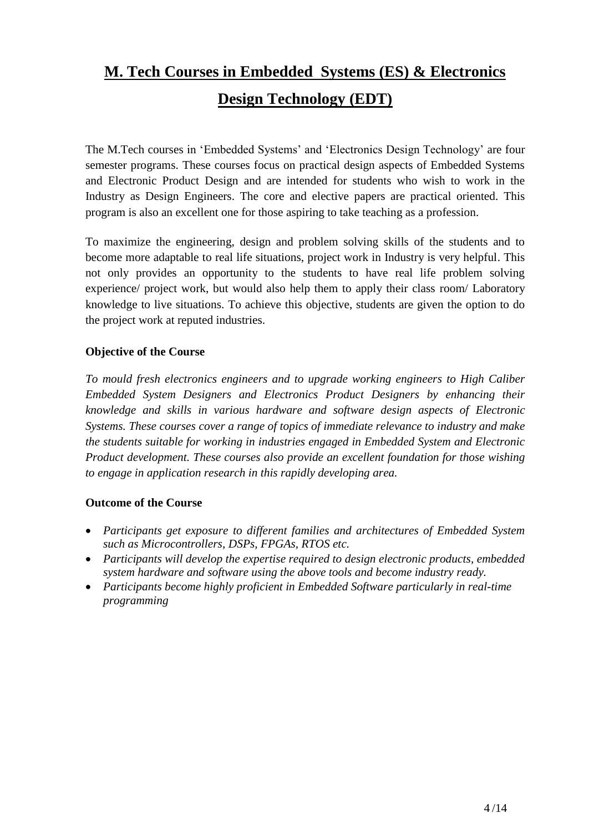# **M. Tech Courses in Embedded Systems (ES) & Electronics Design Technology (EDT)**

The M.Tech courses in 'Embedded Systems' and 'Electronics Design Technology' are four semester programs. These courses focus on practical design aspects of Embedded Systems and Electronic Product Design and are intended for students who wish to work in the Industry as Design Engineers. The core and elective papers are practical oriented. This program is also an excellent one for those aspiring to take teaching as a profession.

To maximize the engineering, design and problem solving skills of the students and to become more adaptable to real life situations, project work in Industry is very helpful. This not only provides an opportunity to the students to have real life problem solving experience/ project work, but would also help them to apply their class room/ Laboratory knowledge to live situations. To achieve this objective, students are given the option to do the project work at reputed industries.

## **Objective of the Course**

*To mould fresh electronics engineers and to upgrade working engineers to High Caliber Embedded System Designers and Electronics Product Designers by enhancing their knowledge and skills in various hardware and software design aspects of Electronic Systems. These courses cover a range of topics of immediate relevance to industry and make the students suitable for working in industries engaged in Embedded System and Electronic Product development. These courses also provide an excellent foundation for those wishing to engage in application research in this rapidly developing area.*

## **Outcome of the Course**

- *Participants get exposure to different families and architectures of Embedded System such as Microcontrollers, DSPs, FPGAs, RTOS etc.*
- *Participants will develop the expertise required to design electronic products, embedded system hardware and software using the above tools and become industry ready.*
- *Participants become highly proficient in Embedded Software particularly in real-time programming*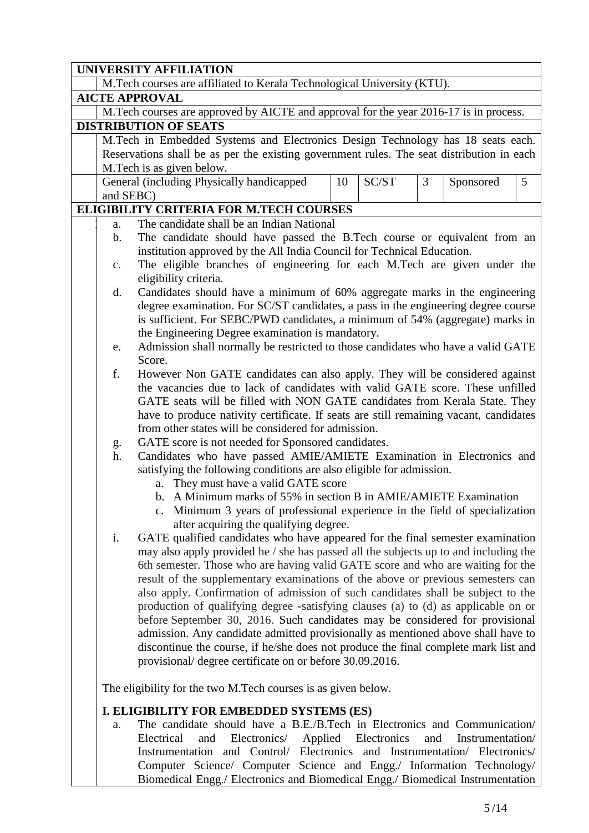| <b>UNIVERSITY AFFILIATION</b> |                                                                       |                                                                                           |  |  |  |  |
|-------------------------------|-----------------------------------------------------------------------|-------------------------------------------------------------------------------------------|--|--|--|--|
|                               |                                                                       | M.Tech courses are affiliated to Kerala Technological University (KTU).                   |  |  |  |  |
| <b>AICTE APPROVAL</b>         |                                                                       |                                                                                           |  |  |  |  |
|                               |                                                                       | M. Tech courses are approved by AICTE and approval for the year 2016-17 is in process.    |  |  |  |  |
|                               |                                                                       | <b>DISTRIBUTION OF SEATS</b>                                                              |  |  |  |  |
|                               |                                                                       | M.Tech in Embedded Systems and Electronics Design Technology has 18 seats each.           |  |  |  |  |
|                               |                                                                       | Reservations shall be as per the existing government rules. The seat distribution in each |  |  |  |  |
|                               |                                                                       | M. Tech is as given below.                                                                |  |  |  |  |
|                               |                                                                       | SC/ST<br>5<br>General (including Physically handicapped<br>10<br>3<br>Sponsored           |  |  |  |  |
|                               | and SEBC)                                                             |                                                                                           |  |  |  |  |
|                               |                                                                       | <b>ELIGIBILITY CRITERIA FOR M.TECH COURSES</b>                                            |  |  |  |  |
|                               | a.                                                                    | The candidate shall be an Indian National                                                 |  |  |  |  |
|                               | $\mathbf{b}$ .                                                        | The candidate should have passed the B.Tech course or equivalent from an                  |  |  |  |  |
|                               |                                                                       | institution approved by the All India Council for Technical Education.                    |  |  |  |  |
|                               | c.                                                                    | The eligible branches of engineering for each M.Tech are given under the                  |  |  |  |  |
|                               |                                                                       | eligibility criteria.                                                                     |  |  |  |  |
|                               | d.                                                                    | Candidates should have a minimum of 60% aggregate marks in the engineering                |  |  |  |  |
|                               |                                                                       | degree examination. For SC/ST candidates, a pass in the engineering degree course         |  |  |  |  |
|                               |                                                                       | is sufficient. For SEBC/PWD candidates, a minimum of 54% (aggregate) marks in             |  |  |  |  |
|                               |                                                                       | the Engineering Degree examination is mandatory.                                          |  |  |  |  |
|                               | e.                                                                    | Admission shall normally be restricted to those candidates who have a valid GATE          |  |  |  |  |
|                               |                                                                       | Score.                                                                                    |  |  |  |  |
|                               | f.                                                                    | However Non GATE candidates can also apply. They will be considered against               |  |  |  |  |
|                               |                                                                       | the vacancies due to lack of candidates with valid GATE score. These unfilled             |  |  |  |  |
|                               |                                                                       | GATE seats will be filled with NON GATE candidates from Kerala State. They                |  |  |  |  |
|                               |                                                                       | have to produce nativity certificate. If seats are still remaining vacant, candidates     |  |  |  |  |
|                               |                                                                       | from other states will be considered for admission.                                       |  |  |  |  |
|                               | g.                                                                    | GATE score is not needed for Sponsored candidates.                                        |  |  |  |  |
|                               | h.                                                                    | Candidates who have passed AMIE/AMIETE Examination in Electronics and                     |  |  |  |  |
|                               |                                                                       | satisfying the following conditions are also eligible for admission.                      |  |  |  |  |
|                               |                                                                       | a. They must have a valid GATE score                                                      |  |  |  |  |
|                               |                                                                       | b. A Minimum marks of 55% in section B in AMIE/AMIETE Examination                         |  |  |  |  |
|                               |                                                                       | c. Minimum 3 years of professional experience in the field of specialization              |  |  |  |  |
|                               |                                                                       | after acquiring the qualifying degree.                                                    |  |  |  |  |
|                               | i.                                                                    | GATE qualified candidates who have appeared for the final semester examination            |  |  |  |  |
|                               |                                                                       | may also apply provided he / she has passed all the subjects up to and including the      |  |  |  |  |
|                               |                                                                       | 6th semester. Those who are having valid GATE score and who are waiting for the           |  |  |  |  |
|                               |                                                                       | result of the supplementary examinations of the above or previous semesters can           |  |  |  |  |
|                               |                                                                       | also apply. Confirmation of admission of such candidates shall be subject to the          |  |  |  |  |
|                               |                                                                       | production of qualifying degree -satisfying clauses (a) to (d) as applicable on or        |  |  |  |  |
|                               |                                                                       | before September 30, 2016. Such candidates may be considered for provisional              |  |  |  |  |
|                               |                                                                       | admission. Any candidate admitted provisionally as mentioned above shall have to          |  |  |  |  |
|                               |                                                                       | discontinue the course, if he/she does not produce the final complete mark list and       |  |  |  |  |
|                               |                                                                       | provisional/ degree certificate on or before 30.09.2016.                                  |  |  |  |  |
|                               |                                                                       | The eligibility for the two M.Tech courses is as given below.                             |  |  |  |  |
|                               |                                                                       |                                                                                           |  |  |  |  |
|                               |                                                                       | I. ELIGIBILITY FOR EMBEDDED SYSTEMS (ES)                                                  |  |  |  |  |
|                               | a.                                                                    | The candidate should have a B.E./B.Tech in Electronics and Communication/                 |  |  |  |  |
|                               |                                                                       | Electrical<br>Electronics/<br>Applied Electronics<br>Instrumentation/<br>and<br>and       |  |  |  |  |
|                               |                                                                       | Instrumentation and Control/ Electronics and Instrumentation/ Electronics/                |  |  |  |  |
|                               | Computer Science/ Computer Science and Engg./ Information Technology/ |                                                                                           |  |  |  |  |

Biomedical Engg./ Electronics and Biomedical Engg./ Biomedical Instrumentation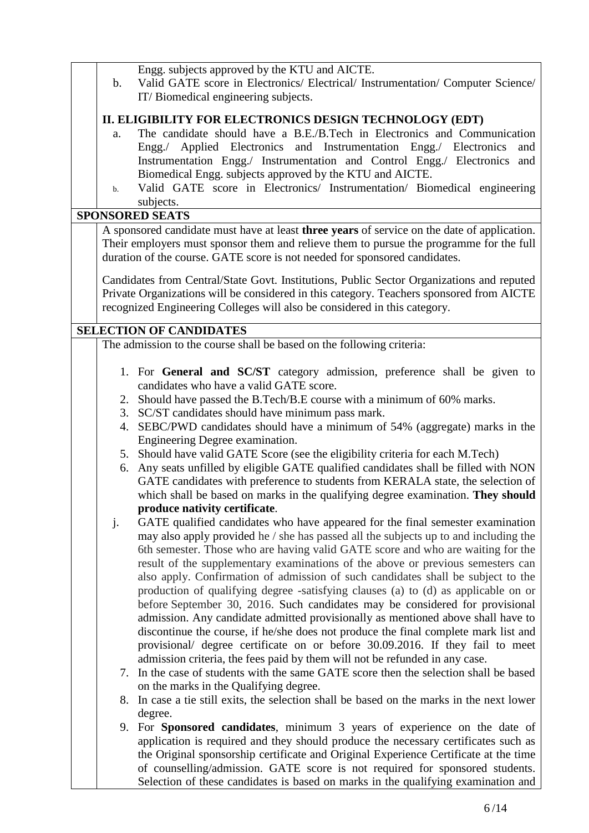| Engg. subjects approved by the KTU and AICTE.<br>Valid GATE score in Electronics/ Electrical/ Instrumentation/ Computer Science/<br>$\mathbf b$ .<br>IT/Biomedical engineering subjects. |
|------------------------------------------------------------------------------------------------------------------------------------------------------------------------------------------|
| II. ELIGIBILITY FOR ELECTRONICS DESIGN TECHNOLOGY (EDT)                                                                                                                                  |
| The candidate should have a B.E./B.Tech in Electronics and Communication<br>a.                                                                                                           |
| Applied Electronics and Instrumentation Engg./ Electronics<br>and<br>$Engg$ ./                                                                                                           |
| Instrumentation Engg./ Instrumentation and Control Engg./ Electronics and                                                                                                                |
| Biomedical Engg. subjects approved by the KTU and AICTE.                                                                                                                                 |
| Valid GATE score in Electronics/ Instrumentation/ Biomedical engineering<br>$b$ .                                                                                                        |
| subjects.                                                                                                                                                                                |
| <b>SPONSORED SEATS</b>                                                                                                                                                                   |
| A sponsored candidate must have at least three years of service on the date of application.                                                                                              |
| Their employers must sponsor them and relieve them to pursue the programme for the full                                                                                                  |
| duration of the course. GATE score is not needed for sponsored candidates.                                                                                                               |
|                                                                                                                                                                                          |
| Candidates from Central/State Govt. Institutions, Public Sector Organizations and reputed                                                                                                |
| Private Organizations will be considered in this category. Teachers sponsored from AICTE                                                                                                 |
| recognized Engineering Colleges will also be considered in this category.                                                                                                                |
| <b>SELECTION OF CANDIDATES</b>                                                                                                                                                           |
| The admission to the course shall be based on the following criteria:                                                                                                                    |
|                                                                                                                                                                                          |
| 1. For General and SC/ST category admission, preference shall be given to                                                                                                                |
| candidates who have a valid GATE score.                                                                                                                                                  |
| 2. Should have passed the B.Tech/B.E course with a minimum of 60% marks.                                                                                                                 |
| 3. SC/ST candidates should have minimum pass mark.                                                                                                                                       |
| SEBC/PWD candidates should have a minimum of 54% (aggregate) marks in the<br>4.                                                                                                          |
| Engineering Degree examination.                                                                                                                                                          |
| 5. Should have valid GATE Score (see the eligibility criteria for each M.Tech)                                                                                                           |
| Any seats unfilled by eligible GATE qualified candidates shall be filled with NON<br>6.                                                                                                  |
| GATE candidates with preference to students from KERALA state, the selection of                                                                                                          |
| which shall be based on marks in the qualifying degree examination. They should                                                                                                          |
| produce nativity certificate.                                                                                                                                                            |
| j.<br>GATE qualified candidates who have appeared for the final semester examination                                                                                                     |
| may also apply provided he / she has passed all the subjects up to and including the                                                                                                     |
| 6th semester. Those who are having valid GATE score and who are waiting for the                                                                                                          |
| result of the supplementary examinations of the above or previous semesters can                                                                                                          |
| also apply. Confirmation of admission of such candidates shall be subject to the                                                                                                         |
| production of qualifying degree -satisfying clauses (a) to (d) as applicable on or                                                                                                       |
| before September 30, 2016. Such candidates may be considered for provisional                                                                                                             |
| admission. Any candidate admitted provisionally as mentioned above shall have to                                                                                                         |
| discontinue the course, if he/she does not produce the final complete mark list and                                                                                                      |
| provisional/ degree certificate on or before 30.09.2016. If they fail to meet                                                                                                            |
| admission criteria, the fees paid by them will not be refunded in any case.                                                                                                              |
| 7. In the case of students with the same GATE score then the selection shall be based                                                                                                    |
| on the marks in the Qualifying degree.                                                                                                                                                   |
| 8. In case a tie still exits, the selection shall be based on the marks in the next lower                                                                                                |
| degree.                                                                                                                                                                                  |
| 9. For Sponsored candidates, minimum 3 years of experience on the date of                                                                                                                |
| application is required and they should produce the necessary certificates such as                                                                                                       |
|                                                                                                                                                                                          |
| the Original sponsorship certificate and Original Experience Certificate at the time                                                                                                     |
| of counselling/admission. GATE score is not required for sponsored students.                                                                                                             |
| Selection of these candidates is based on marks in the qualifying examination and                                                                                                        |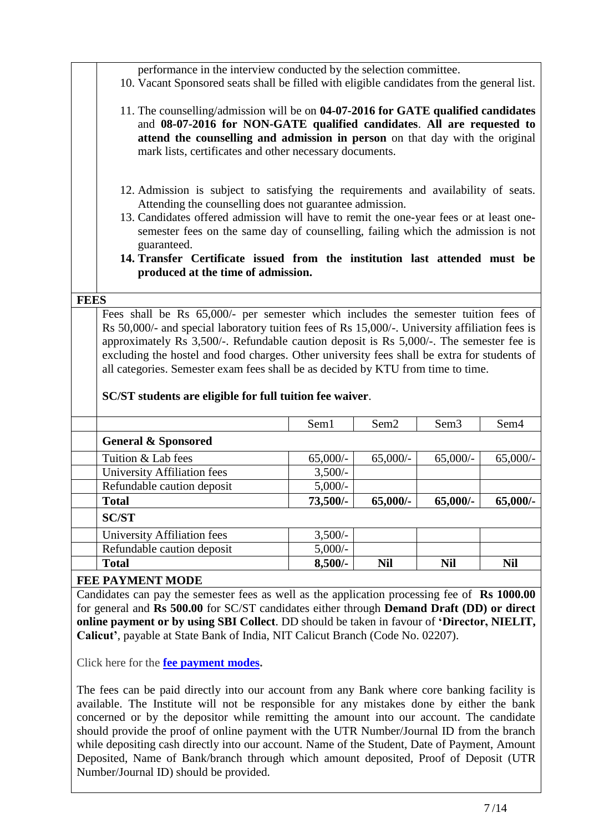|             | performance in the interview conducted by the selection committee.<br>10. Vacant Sponsored seats shall be filled with eligible candidates from the general list.                                                                                                                                                                                                                                                                                               |                        |             |             |                  |  |  |  |  |
|-------------|----------------------------------------------------------------------------------------------------------------------------------------------------------------------------------------------------------------------------------------------------------------------------------------------------------------------------------------------------------------------------------------------------------------------------------------------------------------|------------------------|-------------|-------------|------------------|--|--|--|--|
|             | 11. The counselling/admission will be on 04-07-2016 for GATE qualified candidates<br>and 08-07-2016 for NON-GATE qualified candidates. All are requested to<br>attend the counselling and admission in person on that day with the original<br>mark lists, certificates and other necessary documents.                                                                                                                                                         |                        |             |             |                  |  |  |  |  |
|             | 12. Admission is subject to satisfying the requirements and availability of seats.<br>Attending the counselling does not guarantee admission.<br>13. Candidates offered admission will have to remit the one-year fees or at least one-<br>semester fees on the same day of counselling, failing which the admission is not<br>guaranteed.<br>14. Transfer Certificate issued from the institution last attended must be<br>produced at the time of admission. |                        |             |             |                  |  |  |  |  |
| <b>FEES</b> |                                                                                                                                                                                                                                                                                                                                                                                                                                                                |                        |             |             |                  |  |  |  |  |
|             | approximately Rs 3,500/-. Refundable caution deposit is Rs 5,000/-. The semester fee is<br>excluding the hostel and food charges. Other university fees shall be extra for students of<br>all categories. Semester exam fees shall be as decided by KTU from time to time.<br>SC/ST students are eligible for full tuition fee waiver.                                                                                                                         |                        |             |             |                  |  |  |  |  |
|             | Sem <sub>2</sub><br>Sem <sub>3</sub><br>Sem1                                                                                                                                                                                                                                                                                                                                                                                                                   |                        |             |             |                  |  |  |  |  |
|             |                                                                                                                                                                                                                                                                                                                                                                                                                                                                |                        |             |             |                  |  |  |  |  |
|             | <b>General &amp; Sponsored</b>                                                                                                                                                                                                                                                                                                                                                                                                                                 |                        |             |             |                  |  |  |  |  |
|             |                                                                                                                                                                                                                                                                                                                                                                                                                                                                |                        |             |             | Sem <sub>4</sub> |  |  |  |  |
|             | Tuition & Lab fees                                                                                                                                                                                                                                                                                                                                                                                                                                             | $65,000/$ -            | $65,000/$ - | $65,000/$ - | $65,000/$ -      |  |  |  |  |
|             | <b>University Affiliation fees</b>                                                                                                                                                                                                                                                                                                                                                                                                                             | $3,500/-$              |             |             |                  |  |  |  |  |
|             | Refundable caution deposit<br><b>Total</b>                                                                                                                                                                                                                                                                                                                                                                                                                     | $5,000/-$              |             |             |                  |  |  |  |  |
|             | <b>SC/ST</b>                                                                                                                                                                                                                                                                                                                                                                                                                                                   | 73,500/-               | 65,000/-    | 65,000/-    | 65,000/-         |  |  |  |  |
|             |                                                                                                                                                                                                                                                                                                                                                                                                                                                                |                        |             |             |                  |  |  |  |  |
|             | University Affiliation fees<br>Refundable caution deposit                                                                                                                                                                                                                                                                                                                                                                                                      | $3,500/-$<br>$5,000/-$ |             |             |                  |  |  |  |  |
|             | <b>Total</b>                                                                                                                                                                                                                                                                                                                                                                                                                                                   | $8,500/$ -             | <b>Nil</b>  | <b>Nil</b>  | <b>Nil</b>       |  |  |  |  |
|             | <b>FEE PAYMENT MODE</b>                                                                                                                                                                                                                                                                                                                                                                                                                                        |                        |             |             |                  |  |  |  |  |

The fees can be paid directly into our account from any Bank where core banking facility is available. The Institute will not be responsible for any mistakes done by either the bank concerned or by the depositor while remitting the amount into our account. The candidate should provide the proof of online payment with the UTR Number/Journal ID from the branch while depositing cash directly into our account. Name of the Student, Date of Payment, Amount Deposited, Name of Bank/branch through which amount deposited, Proof of Deposit (UTR Number/Journal ID) should be provided.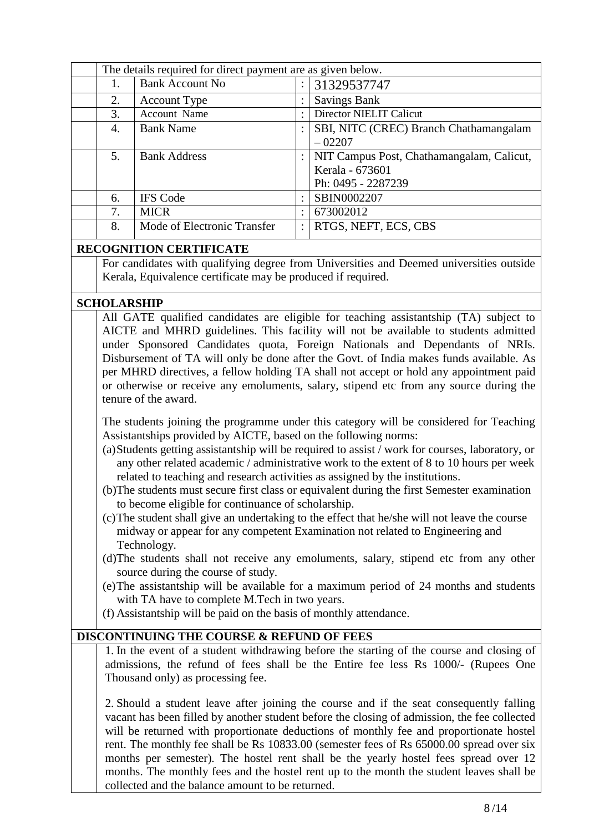| The details required for direct payment are as given below. |                             |  |                                           |  |  |
|-------------------------------------------------------------|-----------------------------|--|-------------------------------------------|--|--|
| $\mathbf{1}$ .                                              | <b>Bank Account No</b>      |  | 31329537747                               |  |  |
| 2.                                                          | <b>Account Type</b>         |  | <b>Savings Bank</b>                       |  |  |
| 3.                                                          | Account Name                |  | Director NIELIT Calicut                   |  |  |
| 4.                                                          | <b>Bank Name</b>            |  | SBI, NITC (CREC) Branch Chathamangalam    |  |  |
|                                                             |                             |  | $-02207$                                  |  |  |
| 5.                                                          | <b>Bank Address</b>         |  | NIT Campus Post, Chathamangalam, Calicut, |  |  |
|                                                             |                             |  | Kerala - 673601                           |  |  |
|                                                             |                             |  | Ph: 0495 - 2287239                        |  |  |
| 6.                                                          | <b>IFS</b> Code             |  | SBIN0002207                               |  |  |
| 7.                                                          | <b>MICR</b>                 |  | 673002012                                 |  |  |
| 8.                                                          | Mode of Electronic Transfer |  | RTGS, NEFT, ECS, CBS                      |  |  |

#### **RECOGNITION CERTIFICATE**

For candidates with qualifying degree from Universities and Deemed universities outside Kerala, Equivalence certificate may be produced if required.

#### **SCHOLARSHIP**

All GATE qualified candidates are eligible for teaching assistantship (TA) subject to AICTE and MHRD guidelines. This facility will not be available to students admitted under Sponsored Candidates quota, Foreign Nationals and Dependants of NRIs. Disbursement of TA will only be done after the Govt. of India makes funds available. As per MHRD directives, a fellow holding TA shall not accept or hold any appointment paid or otherwise or receive any emoluments, salary, stipend etc from any source during the tenure of the award.

The students joining the programme under this category will be considered for Teaching Assistantships provided by AICTE, based on the following norms:

- (a)Students getting assistantship will be required to assist / work for courses, laboratory, or any other related academic / administrative work to the extent of 8 to 10 hours per week related to teaching and research activities as assigned by the institutions.
- (b)The students must secure first class or equivalent during the first Semester examination to become eligible for continuance of scholarship.
- (c)The student shall give an undertaking to the effect that he/she will not leave the course midway or appear for any competent Examination not related to Engineering and Technology.
- (d)The students shall not receive any emoluments, salary, stipend etc from any other source during the course of study.
- (e)The assistantship will be available for a maximum period of 24 months and students with TA have to complete M.Tech in two years.
- (f) Assistantship will be paid on the basis of monthly attendance.

### **DISCONTINUING THE COURSE & REFUND OF FEES**

1. In the event of a student withdrawing before the starting of the course and closing of admissions, the refund of fees shall be the Entire fee less Rs 1000/- (Rupees One Thousand only) as processing fee.

2. Should a student leave after joining the course and if the seat consequently falling vacant has been filled by another student before the closing of admission, the fee collected will be returned with proportionate deductions of monthly fee and proportionate hostel rent. The monthly fee shall be Rs 10833.00 (semester fees of Rs 65000.00 spread over six months per semester). The hostel rent shall be the yearly hostel fees spread over 12 months. The monthly fees and the hostel rent up to the month the student leaves shall be collected and the balance amount to be returned.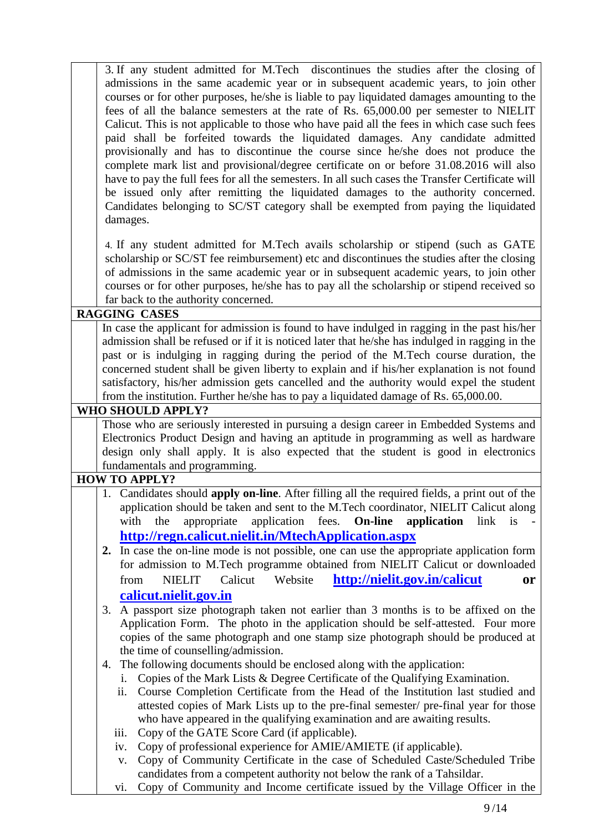3. If any student admitted for M.Tech discontinues the studies after the closing of admissions in the same academic year or in subsequent academic years, to join other courses or for other purposes, he/she is liable to pay liquidated damages amounting to the fees of all the balance semesters at the rate of Rs. 65,000.00 per semester to NIELIT Calicut. This is not applicable to those who have paid all the fees in which case such fees paid shall be forfeited towards the liquidated damages. Any candidate admitted provisionally and has to discontinue the course since he/she does not produce the complete mark list and provisional/degree certificate on or before 31.08.2016 will also have to pay the full fees for all the semesters. In all such cases the Transfer Certificate will be issued only after remitting the liquidated damages to the authority concerned. Candidates belonging to SC/ST category shall be exempted from paying the liquidated damages.

4. If any student admitted for M.Tech avails scholarship or stipend (such as GATE scholarship or SC/ST fee reimbursement) etc and discontinues the studies after the closing of admissions in the same academic year or in subsequent academic years, to join other courses or for other purposes, he/she has to pay all the scholarship or stipend received so far back to the authority concerned.

#### **RAGGING CASES**

In case the applicant for admission is found to have indulged in ragging in the past his/her admission shall be refused or if it is noticed later that he/she has indulged in ragging in the past or is indulging in ragging during the period of the M.Tech course duration, the concerned student shall be given liberty to explain and if his/her explanation is not found satisfactory, his/her admission gets cancelled and the authority would expel the student from the institution. Further he/she has to pay a liquidated damage of Rs. 65,000.00.

#### **WHO SHOULD APPLY?**

Those who are seriously interested in pursuing a design career in Embedded Systems and Electronics Product Design and having an aptitude in programming as well as hardware design only shall apply. It is also expected that the student is good in electronics fundamentals and programming.

### **HOW TO APPLY?**

- 1. Candidates should **apply on-line**. After filling all the required fields, a print out of the application should be taken and sent to the M.Tech coordinator, NIELIT Calicut along with the appropriate application fees. **On-line application** link is **<http://regn.calicut.nielit.in/MtechApplication.aspx>**
- **2.** In case the on-line mode is not possible, one can use the appropriate application form for admission to M.Tech programme obtained from NIELIT Calicut or downloaded from NIELIT Calicut Website **<http://nielit.gov.in/calicut> or [calicut.nielit.gov.in](http://calicut.nielit.in/)**
- 3. A passport size photograph taken not earlier than 3 months is to be affixed on the Application Form. The photo in the application should be self-attested. Four more copies of the same photograph and one stamp size photograph should be produced at the time of counselling/admission.
- 4. The following documents should be enclosed along with the application:
	- i. Copies of the Mark Lists & Degree Certificate of the Qualifying Examination.
	- ii. Course Completion Certificate from the Head of the Institution last studied and attested copies of Mark Lists up to the pre-final semester/ pre-final year for those who have appeared in the qualifying examination and are awaiting results.
	- iii. Copy of the GATE Score Card (if applicable).
	- iv. Copy of professional experience for AMIE/AMIETE (if applicable).
	- v. Copy of Community Certificate in the case of Scheduled Caste/Scheduled Tribe candidates from a competent authority not below the rank of a Tahsildar.
	- vi. Copy of Community and Income certificate issued by the Village Officer in the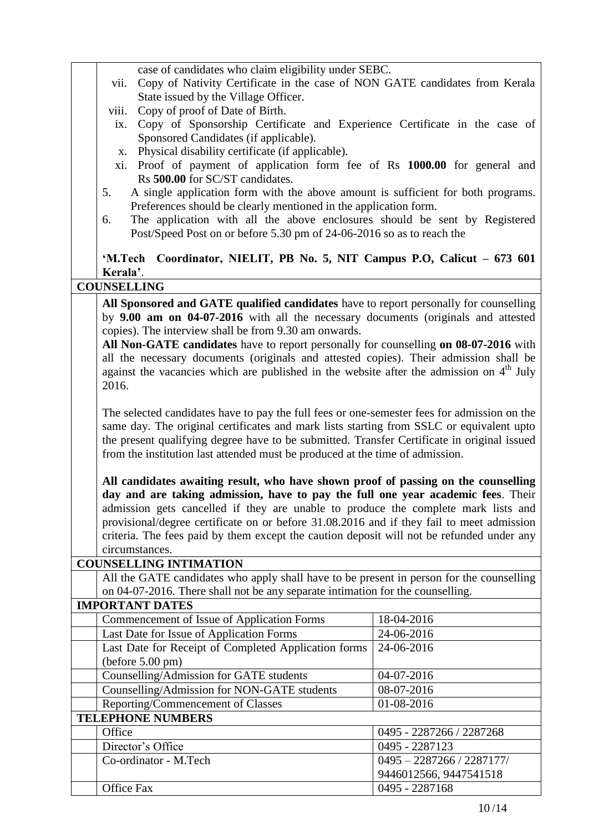| case of candidates who claim eligibility under SEBC.                                                          |                             |  |  |  |
|---------------------------------------------------------------------------------------------------------------|-----------------------------|--|--|--|
| Copy of Nativity Certificate in the case of NON GATE candidates from Kerala<br>vii.                           |                             |  |  |  |
| State issued by the Village Officer.                                                                          |                             |  |  |  |
| Copy of proof of Date of Birth.<br>viii.                                                                      |                             |  |  |  |
| Copy of Sponsorship Certificate and Experience Certificate in the case of<br>ix.                              |                             |  |  |  |
| Sponsored Candidates (if applicable).                                                                         |                             |  |  |  |
| Physical disability certificate (if applicable).<br>X.                                                        |                             |  |  |  |
| xi. Proof of payment of application form fee of Rs 1000.00 for general and<br>Rs 500.00 for SC/ST candidates. |                             |  |  |  |
| A single application form with the above amount is sufficient for both programs.<br>5.                        |                             |  |  |  |
| Preferences should be clearly mentioned in the application form.                                              |                             |  |  |  |
| The application with all the above enclosures should be sent by Registered<br>6.                              |                             |  |  |  |
| Post/Speed Post on or before 5.30 pm of 24-06-2016 so as to reach the                                         |                             |  |  |  |
| 'M.Tech Coordinator, NIELIT, PB No. 5, NIT Campus P.O, Calicut - 673 601                                      |                             |  |  |  |
| Kerala'.                                                                                                      |                             |  |  |  |
| <b>COUNSELLING</b>                                                                                            |                             |  |  |  |
| All Sponsored and GATE qualified candidates have to report personally for counselling                         |                             |  |  |  |
| by 9.00 am on 04-07-2016 with all the necessary documents (originals and attested                             |                             |  |  |  |
| copies). The interview shall be from 9.30 am onwards.                                                         |                             |  |  |  |
| All Non-GATE candidates have to report personally for counselling on 08-07-2016 with                          |                             |  |  |  |
| all the necessary documents (originals and attested copies). Their admission shall be                         |                             |  |  |  |
| against the vacancies which are published in the website after the admission on $4th$ July                    |                             |  |  |  |
| 2016.                                                                                                         |                             |  |  |  |
| The selected candidates have to pay the full fees or one-semester fees for admission on the                   |                             |  |  |  |
| same day. The original certificates and mark lists starting from SSLC or equivalent upto                      |                             |  |  |  |
| the present qualifying degree have to be submitted. Transfer Certificate in original issued                   |                             |  |  |  |
| from the institution last attended must be produced at the time of admission.                                 |                             |  |  |  |
|                                                                                                               |                             |  |  |  |
| All candidates awaiting result, who have shown proof of passing on the counselling                            |                             |  |  |  |
| day and are taking admission, have to pay the full one year academic fees. Their                              |                             |  |  |  |
| admission gets cancelled if they are unable to produce the complete mark lists and                            |                             |  |  |  |
| provisional/degree certificate on or before 31.08.2016 and if they fail to meet admission                     |                             |  |  |  |
| criteria. The fees paid by them except the caution deposit will not be refunded under any                     |                             |  |  |  |
| circumstances.                                                                                                |                             |  |  |  |
| <b>COUNSELLING INTIMATION</b>                                                                                 |                             |  |  |  |
| All the GATE candidates who apply shall have to be present in person for the counselling                      |                             |  |  |  |
| on 04-07-2016. There shall not be any separate intimation for the counselling.                                |                             |  |  |  |
| <b>IMPORTANT DATES</b>                                                                                        |                             |  |  |  |
| Commencement of Issue of Application Forms                                                                    | 18-04-2016                  |  |  |  |
| Last Date for Issue of Application Forms                                                                      | 24-06-2016                  |  |  |  |
| Last Date for Receipt of Completed Application forms                                                          | 24-06-2016                  |  |  |  |
| (before 5.00 pm)                                                                                              |                             |  |  |  |
| Counselling/Admission for GATE students                                                                       | 04-07-2016                  |  |  |  |
| Counselling/Admission for NON-GATE students                                                                   | 08-07-2016                  |  |  |  |
| Reporting/Commencement of Classes                                                                             | 01-08-2016                  |  |  |  |
| <b>TELEPHONE NUMBERS</b>                                                                                      |                             |  |  |  |
| Office                                                                                                        | 0495 - 2287266 / 2287268    |  |  |  |
| Director's Office                                                                                             | 0495 - 2287123              |  |  |  |
| Co-ordinator - M.Tech                                                                                         | $0495 - 2287266 / 2287177/$ |  |  |  |
|                                                                                                               | 9446012566, 9447541518      |  |  |  |
| Office Fax                                                                                                    | 0495 - 2287168              |  |  |  |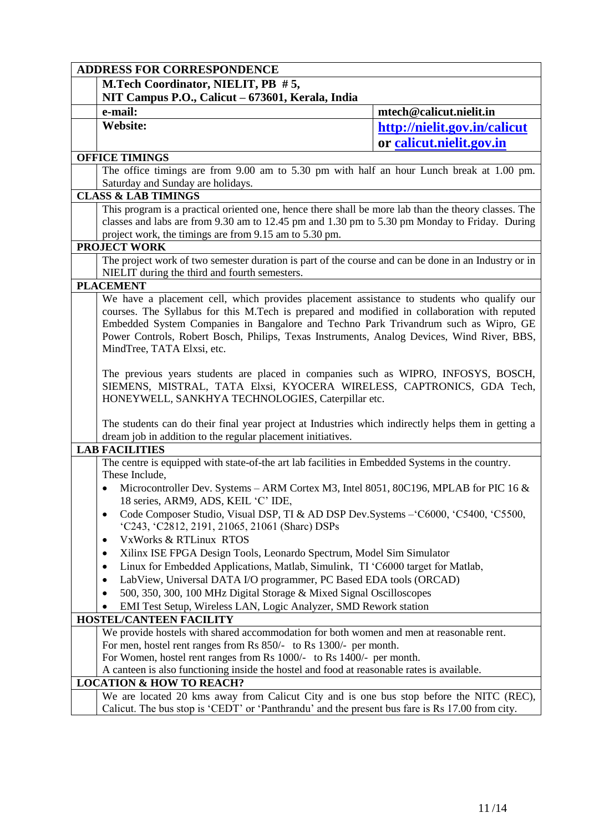| <b>ADDRESS FOR CORRESPONDENCE</b>                                                                    |                              |
|------------------------------------------------------------------------------------------------------|------------------------------|
| M.Tech Coordinator, NIELIT, PB #5,                                                                   |                              |
| NIT Campus P.O., Calicut - 673601, Kerala, India                                                     |                              |
|                                                                                                      | mtech@calicut.nielit.in      |
| e-mail:                                                                                              |                              |
| <b>Website:</b>                                                                                      | http://nielit.gov.in/calicut |
|                                                                                                      | or calicut.nielit.gov.in     |
| <b>OFFICE TIMINGS</b>                                                                                |                              |
| The office timings are from 9.00 am to 5.30 pm with half an hour Lunch break at 1.00 pm.             |                              |
| Saturday and Sunday are holidays.                                                                    |                              |
| <b>CLASS &amp; LAB TIMINGS</b>                                                                       |                              |
| This program is a practical oriented one, hence there shall be more lab than the theory classes. The |                              |
| classes and labs are from 9.30 am to 12.45 pm and 1.30 pm to 5.30 pm Monday to Friday. During        |                              |
| project work, the timings are from 9.15 am to 5.30 pm.                                               |                              |
| <b>PROJECT WORK</b>                                                                                  |                              |
| The project work of two semester duration is part of the course and can be done in an Industry or in |                              |
| NIELIT during the third and fourth semesters.                                                        |                              |
| <b>PLACEMENT</b>                                                                                     |                              |
| We have a placement cell, which provides placement assistance to students who qualify our            |                              |
| courses. The Syllabus for this M.Tech is prepared and modified in collaboration with reputed         |                              |
| Embedded System Companies in Bangalore and Techno Park Trivandrum such as Wipro, GE                  |                              |
| Power Controls, Robert Bosch, Philips, Texas Instruments, Analog Devices, Wind River, BBS,           |                              |
| MindTree, TATA Elxsi, etc.                                                                           |                              |
| The previous years students are placed in companies such as WIPRO, INFOSYS, BOSCH,                   |                              |
| SIEMENS, MISTRAL, TATA Elxsi, KYOCERA WIRELESS, CAPTRONICS, GDA Tech,                                |                              |
| HONEYWELL, SANKHYA TECHNOLOGIES, Caterpillar etc.                                                    |                              |
|                                                                                                      |                              |
| The students can do their final year project at Industries which indirectly helps them in getting a  |                              |
| dream job in addition to the regular placement initiatives.                                          |                              |
| <b>LAB FACILITIES</b>                                                                                |                              |
| The centre is equipped with state-of-the art lab facilities in Embedded Systems in the country.      |                              |
| These Include,                                                                                       |                              |
| Microcontroller Dev. Systems – ARM Cortex M3, Intel 8051, 80C196, MPLAB for PIC 16 $\&$              |                              |
| 18 series, ARM9, ADS, KEIL 'C' IDE,                                                                  |                              |
| Code Composer Studio, Visual DSP, TI & AD DSP Dev. Systems - 'C6000, 'C5400, 'C5500,                 |                              |
| 'C243, 'C2812, 2191, 21065, 21061 (Share) DSPs                                                       |                              |
| VxWorks & RTLinux RTOS<br>٠                                                                          |                              |
| Xilinx ISE FPGA Design Tools, Leonardo Spectrum, Model Sim Simulator<br>٠                            |                              |
| Linux for Embedded Applications, Matlab, Simulink, TI 'C6000 target for Matlab,<br>٠                 |                              |
| LabView, Universal DATA I/O programmer, PC Based EDA tools (ORCAD)                                   |                              |
| 500, 350, 300, 100 MHz Digital Storage & Mixed Signal Oscilloscopes                                  |                              |
| EMI Test Setup, Wireless LAN, Logic Analyzer, SMD Rework station                                     |                              |
| <b>HOSTEL/CANTEEN FACILITY</b>                                                                       |                              |
| We provide hostels with shared accommodation for both women and men at reasonable rent.              |                              |
| For men, hostel rent ranges from Rs 850/- to Rs 1300/- per month.                                    |                              |
| For Women, hostel rent ranges from Rs 1000/- to Rs 1400/- per month.                                 |                              |
| A canteen is also functioning inside the hostel and food at reasonable rates is available.           |                              |
| <b>LOCATION &amp; HOW TO REACH?</b>                                                                  |                              |
| We are located 20 kms away from Calicut City and is one bus stop before the NITC (REC),              |                              |
| Calicut. The bus stop is 'CEDT' or 'Panthrandu' and the present bus fare is Rs 17.00 from city.      |                              |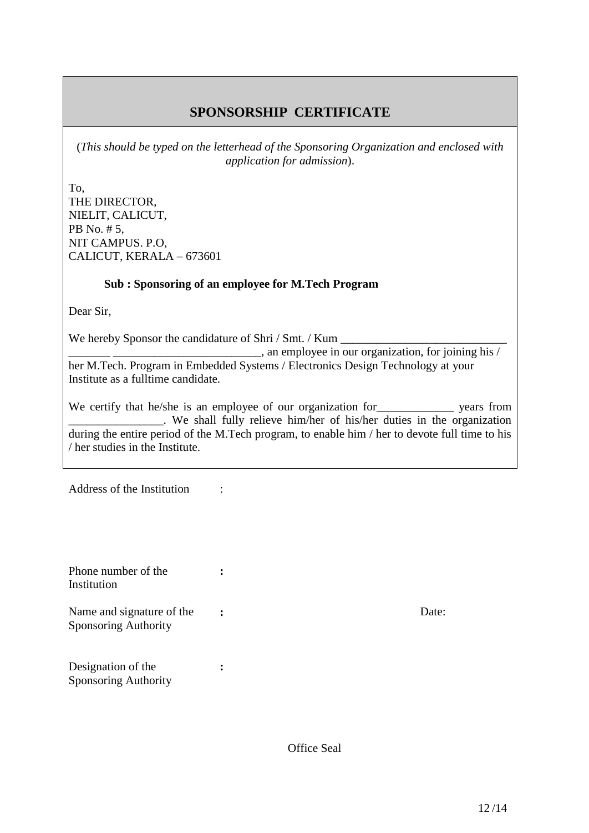## **SPONSORSHIP CERTIFICATE**

(*This should be typed on the letterhead of the Sponsoring Organization and enclosed with application for admission*).

To, THE DIRECTOR, NIELIT, CALICUT, PB No. # 5, NIT CAMPUS. P.O, CALICUT, KERALA – 673601

#### **Sub : Sponsoring of an employee for M.Tech Program**

Dear Sir,

We hereby Sponsor the candidature of Shri / Smt. / Kum \_\_\_\_\_\_\_\_\_\_\_\_\_\_\_\_\_\_\_\_\_\_\_\_\_

**:**

, an employee in our organization, for joining his / her M.Tech. Program in Embedded Systems / Electronics Design Technology at your Institute as a fulltime candidate.

We certify that he/she is an employee of our organization for years from **EXECUTE:** We shall fully relieve him/her of his/her duties in the organization during the entire period of the M.Tech program, to enable him / her to devote full time to his / her studies in the Institute.

Address of the Institution :

| Phone number of the                                      |  |
|----------------------------------------------------------|--|
| Institution                                              |  |
| Name and signature of the<br><b>Sponsoring Authority</b> |  |
|                                                          |  |

Designation of the Sponsoring Authority **:** Date:

Office Seal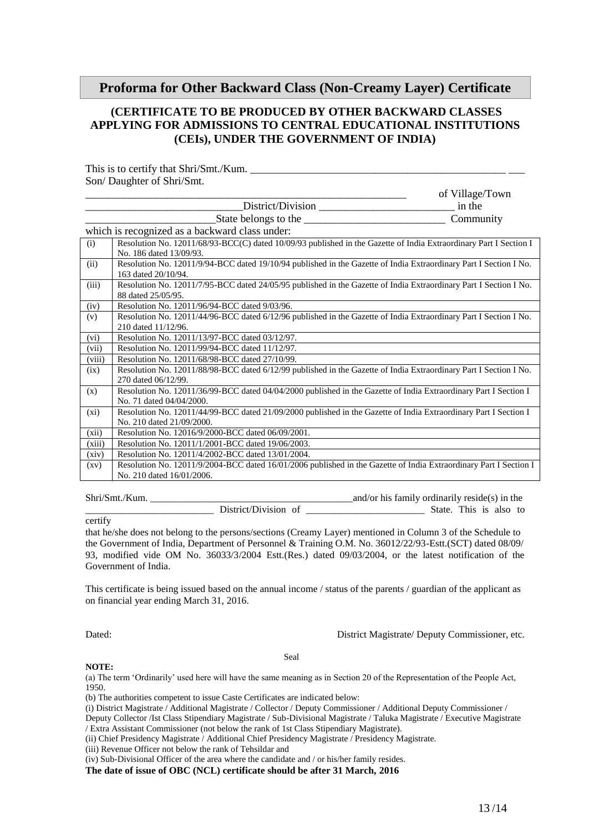**Proforma for Other Backward Class (Non-Creamy Layer) Certificate**

#### **(CERTIFICATE TO BE PRODUCED BY OTHER BACKWARD CLASSES APPLYING FOR ADMISSIONS TO CENTRAL EDUCATIONAL INSTITUTIONS (CEIs), UNDER THE GOVERNMENT OF INDIA)**

This is to certify that Shri/Smt./Kum. Son/ Daughter of Shri/Smt. of Village/Town

|        | District/Division                                                                                                 | in the    |
|--------|-------------------------------------------------------------------------------------------------------------------|-----------|
|        | State belongs to the                                                                                              | Community |
|        | which is recognized as a backward class under:                                                                    |           |
| (i)    | Resolution No. 12011/68/93-BCC(C) dated 10/09/93 published in the Gazette of India Extraordinary Part I Section I |           |
|        | No. 186 dated 13/09/93.                                                                                           |           |
| (ii)   | Resolution No. 12011/9/94-BCC dated 19/10/94 published in the Gazette of India Extraordinary Part I Section I No. |           |
|        | 163 dated 20/10/94.                                                                                               |           |
| (iii)  | Resolution No. 12011/7/95-BCC dated 24/05/95 published in the Gazette of India Extraordinary Part I Section I No. |           |
|        | 88 dated 25/05/95.                                                                                                |           |
| (iv)   | Resolution No. 12011/96/94-BCC dated 9/03/96.                                                                     |           |
| (v)    | Resolution No. 12011/44/96-BCC dated 6/12/96 published in the Gazette of India Extraordinary Part I Section I No. |           |
|        | 210 dated 11/12/96.                                                                                               |           |
| (vi)   | Resolution No. 12011/13/97-BCC dated 03/12/97.                                                                    |           |
| (vii)  | Resolution No. 12011/99/94-BCC dated 11/12/97.                                                                    |           |
| (viii) | Resolution No. 12011/68/98-BCC dated 27/10/99.                                                                    |           |
| (ix)   | Resolution No. 12011/88/98-BCC dated 6/12/99 published in the Gazette of India Extraordinary Part I Section I No. |           |
|        | 270 dated 06/12/99.                                                                                               |           |
| (x)    | Resolution No. 12011/36/99-BCC dated 04/04/2000 published in the Gazette of India Extraordinary Part I Section I  |           |
|        | No. 71 dated 04/04/2000.                                                                                          |           |
| (xi)   | Resolution No. 12011/44/99-BCC dated 21/09/2000 published in the Gazette of India Extraordinary Part I Section I  |           |
|        | No. 210 dated 21/09/2000.                                                                                         |           |
| (xii)  | Resolution No. 12016/9/2000-BCC dated 06/09/2001.                                                                 |           |
| (xiii) | Resolution No. 12011/1/2001-BCC dated 19/06/2003.                                                                 |           |
| (xiv)  | Resolution No. 12011/4/2002-BCC dated 13/01/2004.                                                                 |           |
| (xv)   | Resolution No. 12011/9/2004-BCC dated 16/01/2006 published in the Gazette of India Extraordinary Part I Section I |           |
|        | No. 210 dated 16/01/2006.                                                                                         |           |

| Shri/Smt.<br>$/K$ um |                   | and/or his family ordinarily reside(s) in the |       |                 |  |  |
|----------------------|-------------------|-----------------------------------------------|-------|-----------------|--|--|
|                      | District/Division |                                               | State | This is also to |  |  |

#### certify

that he/she does not belong to the persons/sections (Creamy Layer) mentioned in Column 3 of the Schedule to the Government of India, Department of Personnel & Training O.M. No. 36012/22/93-Estt.(SCT) dated 08/09/ 93, modified vide OM No. 36033/3/2004 Estt.(Res.) dated 09/03/2004, or the latest notification of the Government of India.

This certificate is being issued based on the annual income / status of the parents / guardian of the applicant as on financial year ending March 31, 2016.

Dated: District Magistrate/ Deputy Commissioner, etc.

#### **NOTE:**

(a) The term 'Ordinarily' used here will have the same meaning as in Section 20 of the Representation of the People Act, 1950.

Seal

(b) The authorities competent to issue Caste Certificates are indicated below:

(i) District Magistrate / Additional Magistrate / Collector / Deputy Commissioner / Additional Deputy Commissioner /

Deputy Collector /Ist Class Stipendiary Magistrate / Sub-Divisional Magistrate / Taluka Magistrate / Executive Magistrate / Extra Assistant Commissioner (not below the rank of 1st Class Stipendiary Magistrate).

(ii) Chief Presidency Magistrate / Additional Chief Presidency Magistrate / Presidency Magistrate.

(iii) Revenue Officer not below the rank of Tehsildar and

(iv) Sub-Divisional Officer of the area where the candidate and / or his/her family resides.

**The date of issue of OBC (NCL) certificate should be after 31 March, 2016**